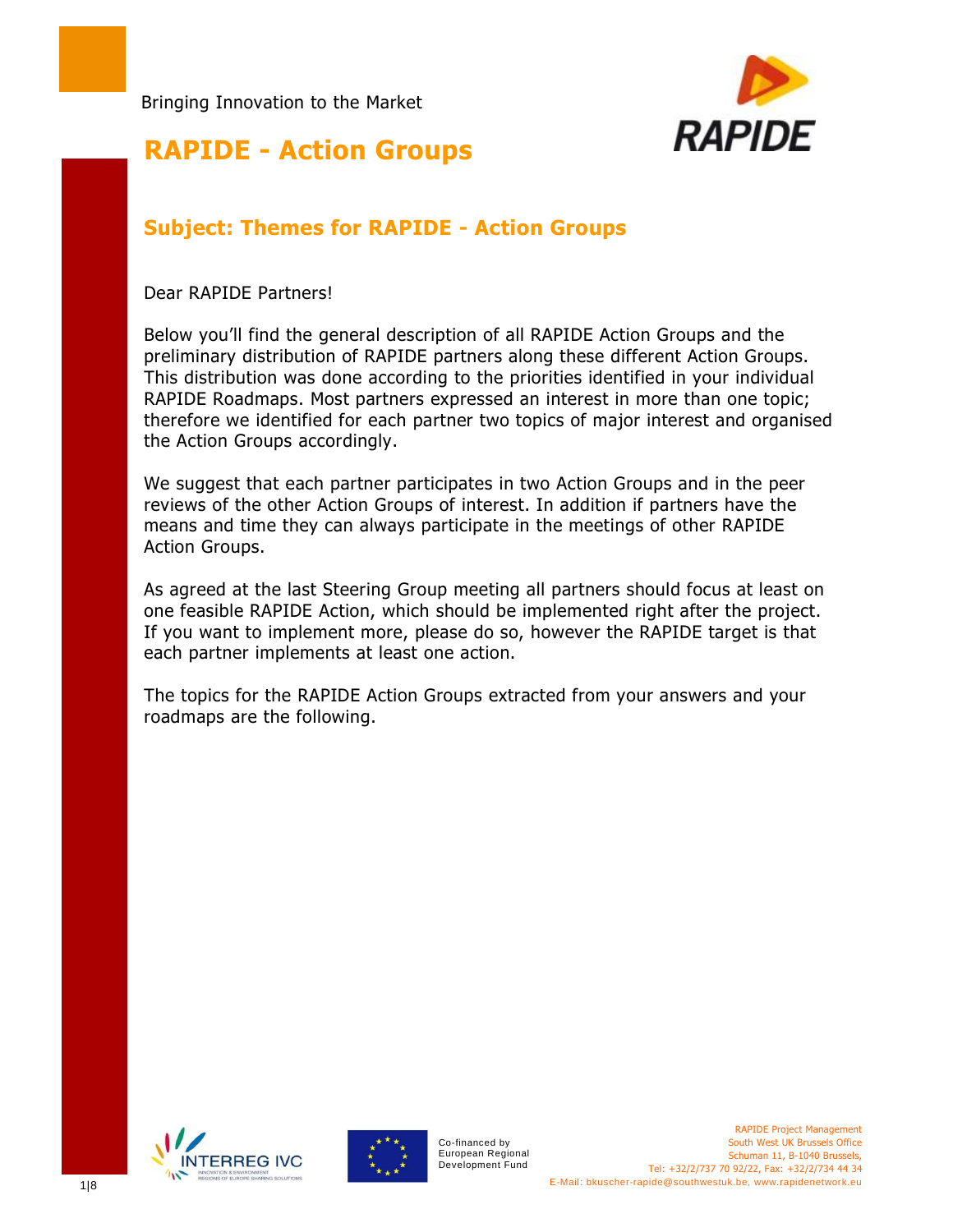

#### **RAPIDE - Action Groups**

#### **Subject: Themes for RAPIDE - Action Groups**

Dear RAPIDE Partners!

I

Below you'll find the general description of all RAPIDE Action Groups and the preliminary distribution of RAPIDE partners along these different Action Groups. This distribution was done according to the priorities identified in your individual RAPIDE Roadmaps. Most partners expressed an interest in more than one topic; therefore we identified for each partner two topics of major interest and organised the Action Groups accordingly.

We suggest that each partner participates in two Action Groups and in the peer reviews of the other Action Groups of interest. In addition if partners have the means and time they can always participate in the meetings of other RAPIDE Action Groups.

As agreed at the last Steering Group meeting all partners should focus at least on one feasible RAPIDE Action, which should be implemented right after the project. If you want to implement more, please do so, however the RAPIDE target is that each partner implements at least one action.

The topics for the RAPIDE Action Groups extracted from your answers and your roadmaps are the following.





Co-financed by European Regional Development Fund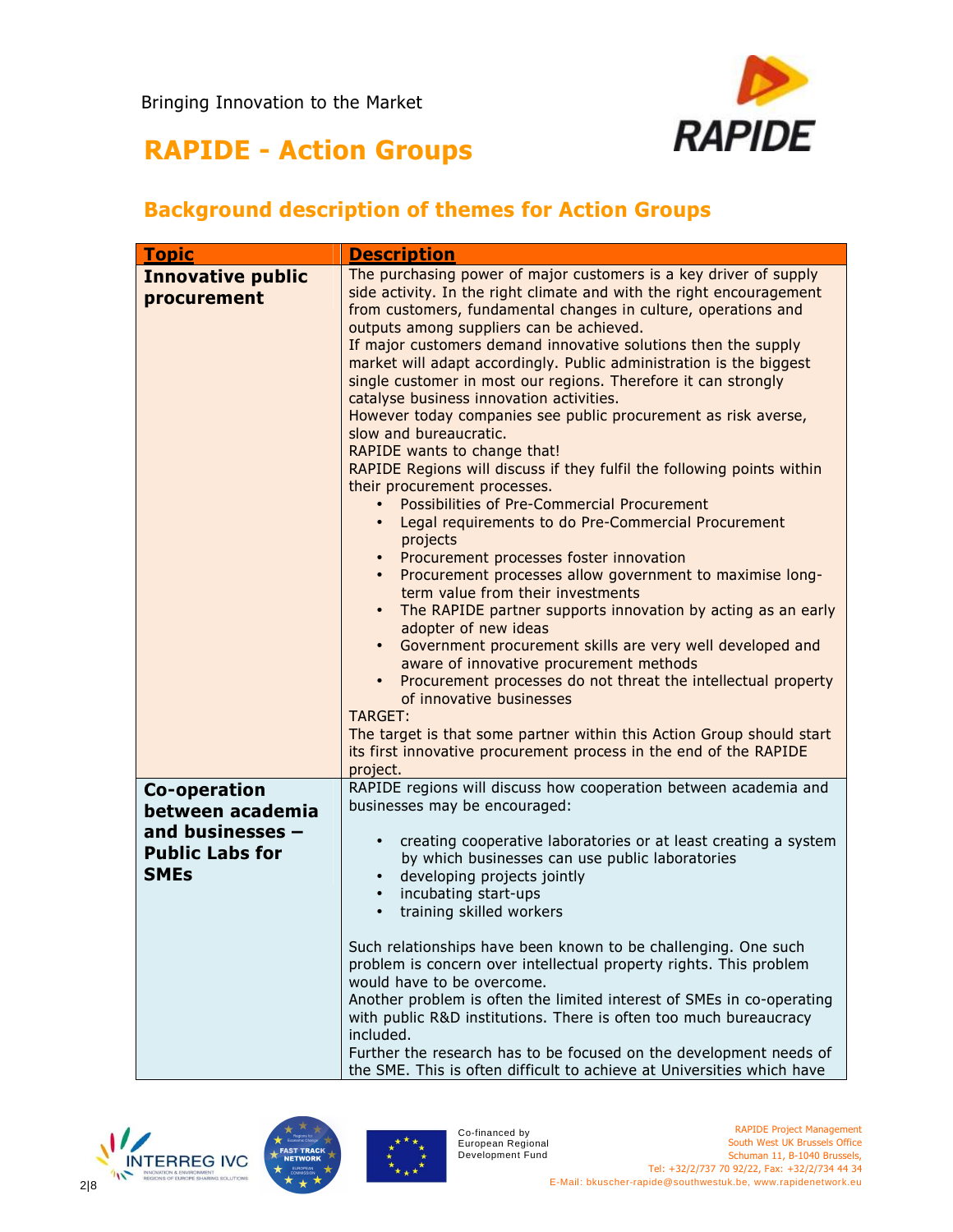

#### **Background description of themes for Action Groups**

| <b>Topic</b>                                                                                  | <b>Description</b>                                                                                                                                                                                                                                                                                                                                                                                                                                                                                                                                                                                                                                                                                                                                                                                                                                                                                                                                                                                                                                                                                                                                                                                                                                                                                                                                                                                                                                                                                                                                                 |
|-----------------------------------------------------------------------------------------------|--------------------------------------------------------------------------------------------------------------------------------------------------------------------------------------------------------------------------------------------------------------------------------------------------------------------------------------------------------------------------------------------------------------------------------------------------------------------------------------------------------------------------------------------------------------------------------------------------------------------------------------------------------------------------------------------------------------------------------------------------------------------------------------------------------------------------------------------------------------------------------------------------------------------------------------------------------------------------------------------------------------------------------------------------------------------------------------------------------------------------------------------------------------------------------------------------------------------------------------------------------------------------------------------------------------------------------------------------------------------------------------------------------------------------------------------------------------------------------------------------------------------------------------------------------------------|
| <b>Innovative public</b><br>procurement                                                       | The purchasing power of major customers is a key driver of supply<br>side activity. In the right climate and with the right encouragement<br>from customers, fundamental changes in culture, operations and<br>outputs among suppliers can be achieved.<br>If major customers demand innovative solutions then the supply<br>market will adapt accordingly. Public administration is the biggest<br>single customer in most our regions. Therefore it can strongly<br>catalyse business innovation activities.<br>However today companies see public procurement as risk averse,<br>slow and bureaucratic.<br>RAPIDE wants to change that!<br>RAPIDE Regions will discuss if they fulfil the following points within<br>their procurement processes.<br>Possibilities of Pre-Commercial Procurement<br>$\bullet$<br>Legal requirements to do Pre-Commercial Procurement<br>$\bullet$<br>projects<br>Procurement processes foster innovation<br>$\bullet$<br>Procurement processes allow government to maximise long-<br>term value from their investments<br>The RAPIDE partner supports innovation by acting as an early<br>$\bullet$<br>adopter of new ideas<br>Government procurement skills are very well developed and<br>$\bullet$<br>aware of innovative procurement methods<br>Procurement processes do not threat the intellectual property<br>$\bullet$<br>of innovative businesses<br>TARGET:<br>The target is that some partner within this Action Group should start<br>its first innovative procurement process in the end of the RAPIDE<br>project. |
| Co-operation<br>between academia<br>and businesses -<br><b>Public Labs for</b><br><b>SMEs</b> | RAPIDE regions will discuss how cooperation between academia and<br>businesses may be encouraged:<br>creating cooperative laboratories or at least creating a system<br>$\bullet$<br>by which businesses can use public laboratories<br>developing projects jointly<br>$\bullet$<br>incubating start-ups<br>training skilled workers<br>Such relationships have been known to be challenging. One such<br>problem is concern over intellectual property rights. This problem<br>would have to be overcome.<br>Another problem is often the limited interest of SMEs in co-operating<br>with public R&D institutions. There is often too much bureaucracy                                                                                                                                                                                                                                                                                                                                                                                                                                                                                                                                                                                                                                                                                                                                                                                                                                                                                                           |
|                                                                                               | included.<br>Further the research has to be focused on the development needs of<br>the SME. This is often difficult to achieve at Universities which have                                                                                                                                                                                                                                                                                                                                                                                                                                                                                                                                                                                                                                                                                                                                                                                                                                                                                                                                                                                                                                                                                                                                                                                                                                                                                                                                                                                                          |





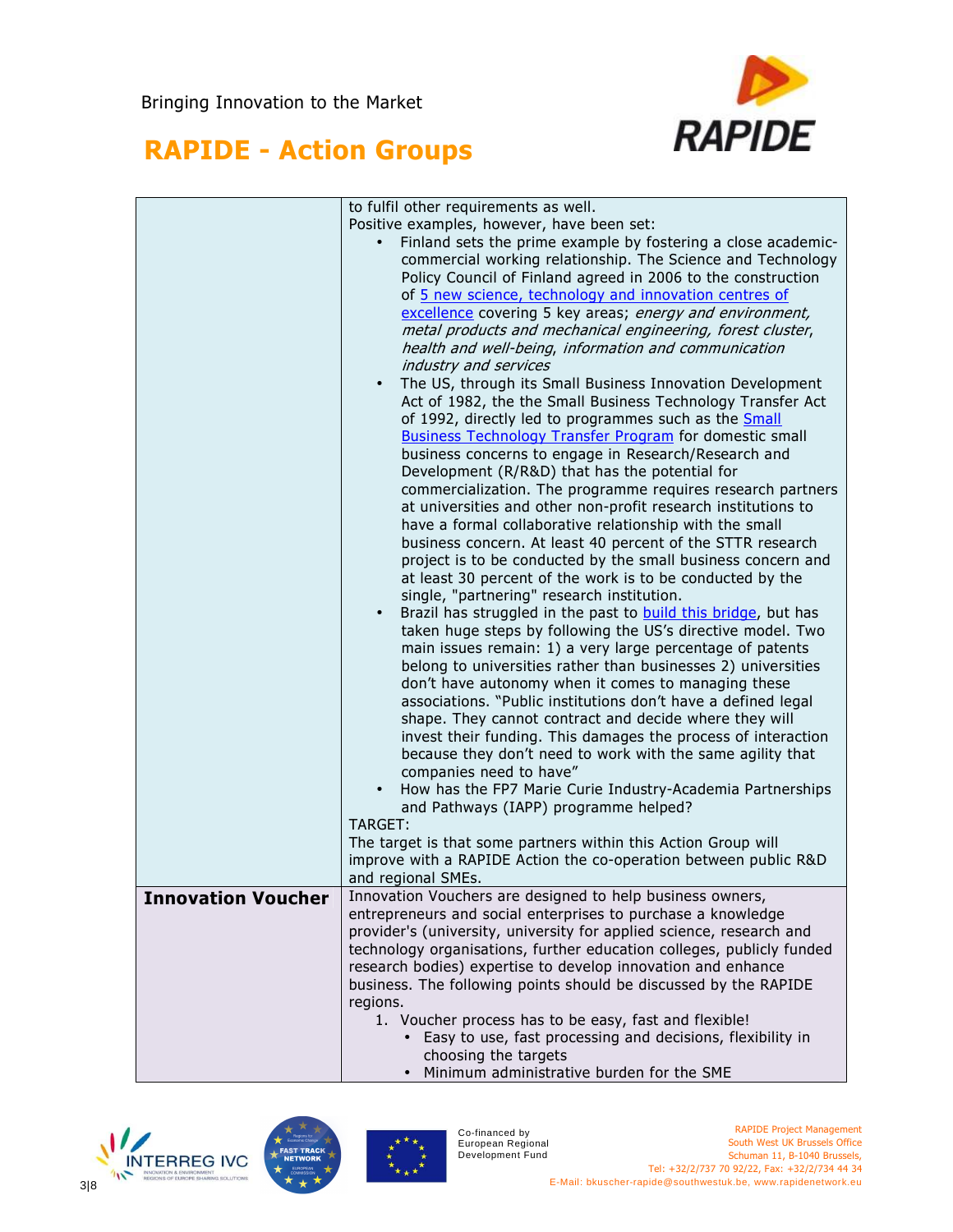

|                           | to fulfil other requirements as well.                                                                                |  |
|---------------------------|----------------------------------------------------------------------------------------------------------------------|--|
|                           | Positive examples, however, have been set:                                                                           |  |
|                           | Finland sets the prime example by fostering a close academic-                                                        |  |
|                           | commercial working relationship. The Science and Technology                                                          |  |
|                           | Policy Council of Finland agreed in 2006 to the construction                                                         |  |
|                           | of 5 new science, technology and innovation centres of                                                               |  |
|                           | excellence covering 5 key areas; energy and environment,                                                             |  |
|                           | metal products and mechanical engineering, forest cluster,                                                           |  |
|                           | health and well-being, information and communication                                                                 |  |
|                           | industry and services                                                                                                |  |
|                           | The US, through its Small Business Innovation Development                                                            |  |
|                           | Act of 1982, the the Small Business Technology Transfer Act                                                          |  |
|                           | of 1992, directly led to programmes such as the Small                                                                |  |
|                           | <b>Business Technology Transfer Program for domestic small</b>                                                       |  |
|                           | business concerns to engage in Research/Research and                                                                 |  |
|                           | Development (R/R&D) that has the potential for                                                                       |  |
|                           | commercialization. The programme requires research partners                                                          |  |
|                           | at universities and other non-profit research institutions to                                                        |  |
|                           | have a formal collaborative relationship with the small                                                              |  |
|                           | business concern. At least 40 percent of the STTR research                                                           |  |
|                           | project is to be conducted by the small business concern and                                                         |  |
|                           | at least 30 percent of the work is to be conducted by the                                                            |  |
|                           | single, "partnering" research institution.<br>Brazil has struggled in the past to <b>build this bridge</b> , but has |  |
|                           | $\bullet$<br>taken huge steps by following the US's directive model. Two                                             |  |
|                           | main issues remain: 1) a very large percentage of patents                                                            |  |
|                           | belong to universities rather than businesses 2) universities                                                        |  |
|                           | don't have autonomy when it comes to managing these                                                                  |  |
|                           | associations. "Public institutions don't have a defined legal                                                        |  |
|                           | shape. They cannot contract and decide where they will                                                               |  |
|                           | invest their funding. This damages the process of interaction                                                        |  |
|                           | because they don't need to work with the same agility that                                                           |  |
|                           | companies need to have"                                                                                              |  |
|                           | How has the FP7 Marie Curie Industry-Academia Partnerships                                                           |  |
|                           | and Pathways (IAPP) programme helped?                                                                                |  |
|                           | TARGET:                                                                                                              |  |
|                           | The target is that some partners within this Action Group will                                                       |  |
|                           | improve with a RAPIDE Action the co-operation between public R&D                                                     |  |
|                           | and regional SMEs.                                                                                                   |  |
| <b>Innovation Voucher</b> | Innovation Vouchers are designed to help business owners,                                                            |  |
|                           | entrepreneurs and social enterprises to purchase a knowledge                                                         |  |
|                           | provider's (university, university for applied science, research and                                                 |  |
|                           | technology organisations, further education colleges, publicly funded                                                |  |
|                           | research bodies) expertise to develop innovation and enhance                                                         |  |
|                           | business. The following points should be discussed by the RAPIDE                                                     |  |
|                           | regions.                                                                                                             |  |
|                           | 1. Voucher process has to be easy, fast and flexible!                                                                |  |
|                           | • Easy to use, fast processing and decisions, flexibility in<br>choosing the targets                                 |  |
|                           | Minimum administrative burden for the SME                                                                            |  |
|                           |                                                                                                                      |  |





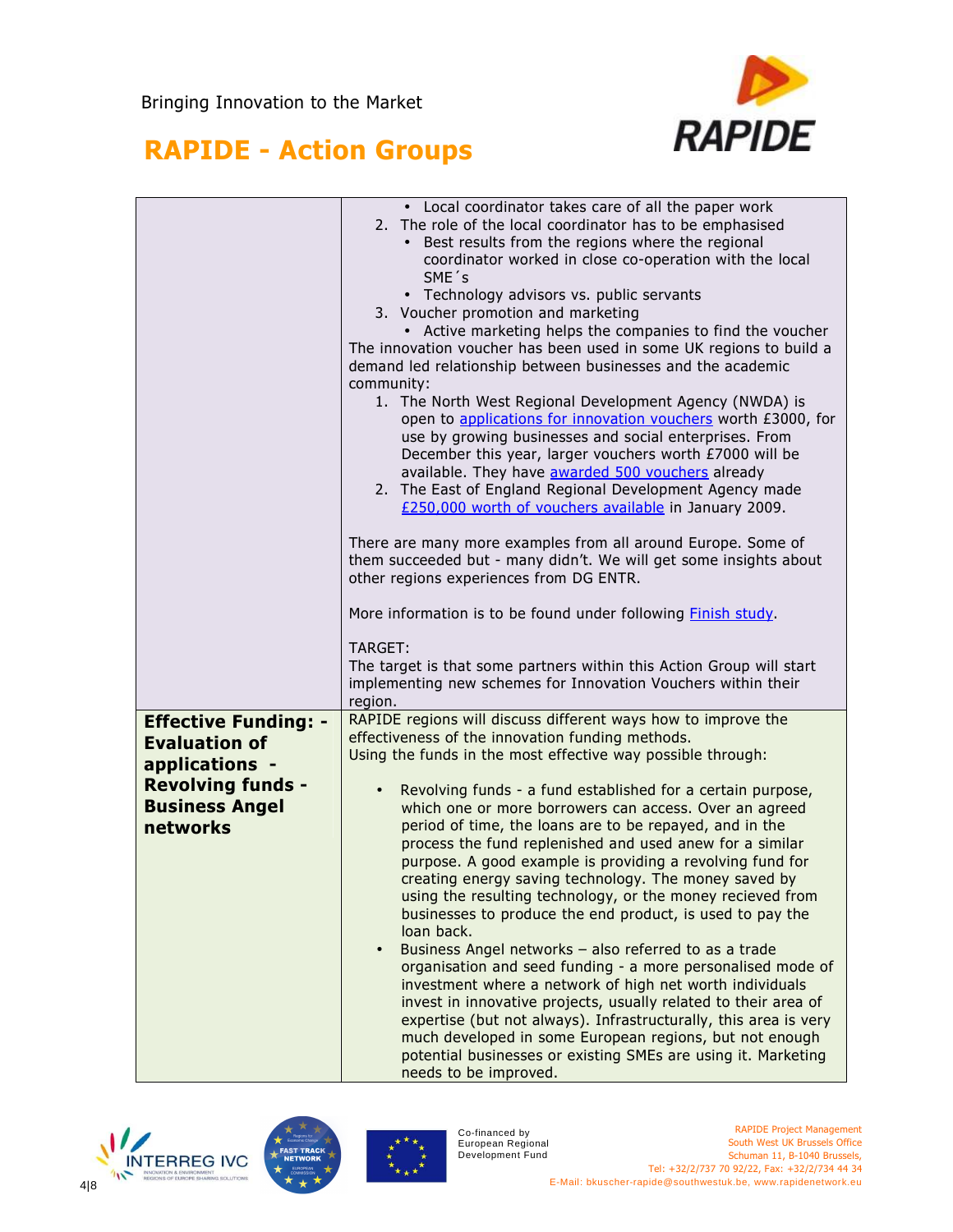

|                                                                                                                                        | • Local coordinator takes care of all the paper work<br>2. The role of the local coordinator has to be emphasised<br>Best results from the regions where the regional<br>coordinator worked in close co-operation with the local<br>SME's<br>• Technology advisors vs. public servants<br>3. Voucher promotion and marketing<br>• Active marketing helps the companies to find the voucher<br>The innovation voucher has been used in some UK regions to build a<br>demand led relationship between businesses and the academic<br>community:<br>1. The North West Regional Development Agency (NWDA) is<br>open to applications for innovation vouchers worth £3000, for<br>use by growing businesses and social enterprises. From<br>December this year, larger vouchers worth £7000 will be<br>available. They have awarded 500 vouchers already<br>2. The East of England Regional Development Agency made<br>£250,000 worth of vouchers available in January 2009.<br>There are many more examples from all around Europe. Some of<br>them succeeded but - many didn't. We will get some insights about<br>other regions experiences from DG ENTR.<br>More information is to be found under following <b>Finish study</b> .<br>TARGET:<br>The target is that some partners within this Action Group will start |
|----------------------------------------------------------------------------------------------------------------------------------------|---------------------------------------------------------------------------------------------------------------------------------------------------------------------------------------------------------------------------------------------------------------------------------------------------------------------------------------------------------------------------------------------------------------------------------------------------------------------------------------------------------------------------------------------------------------------------------------------------------------------------------------------------------------------------------------------------------------------------------------------------------------------------------------------------------------------------------------------------------------------------------------------------------------------------------------------------------------------------------------------------------------------------------------------------------------------------------------------------------------------------------------------------------------------------------------------------------------------------------------------------------------------------------------------------------------------|
|                                                                                                                                        | implementing new schemes for Innovation Vouchers within their                                                                                                                                                                                                                                                                                                                                                                                                                                                                                                                                                                                                                                                                                                                                                                                                                                                                                                                                                                                                                                                                                                                                                                                                                                                       |
| <b>Effective Funding: -</b><br><b>Evaluation of</b><br>applications -<br><b>Revolving funds -</b><br><b>Business Angel</b><br>networks | region.<br>RAPIDE regions will discuss different ways how to improve the<br>effectiveness of the innovation funding methods.<br>Using the funds in the most effective way possible through:<br>Revolving funds - a fund established for a certain purpose,<br>which one or more borrowers can access. Over an agreed<br>period of time, the loans are to be repayed, and in the<br>process the fund replenished and used anew for a similar<br>purpose. A good example is providing a revolving fund for<br>creating energy saving technology. The money saved by<br>using the resulting technology, or the money recieved from<br>businesses to produce the end product, is used to pay the<br>loan back.<br>Business Angel networks - also referred to as a trade<br>organisation and seed funding - a more personalised mode of<br>investment where a network of high net worth individuals<br>invest in innovative projects, usually related to their area of<br>expertise (but not always). Infrastructurally, this area is very<br>much developed in some European regions, but not enough<br>potential businesses or existing SMEs are using it. Marketing<br>needs to be improved.                                                                                                                          |





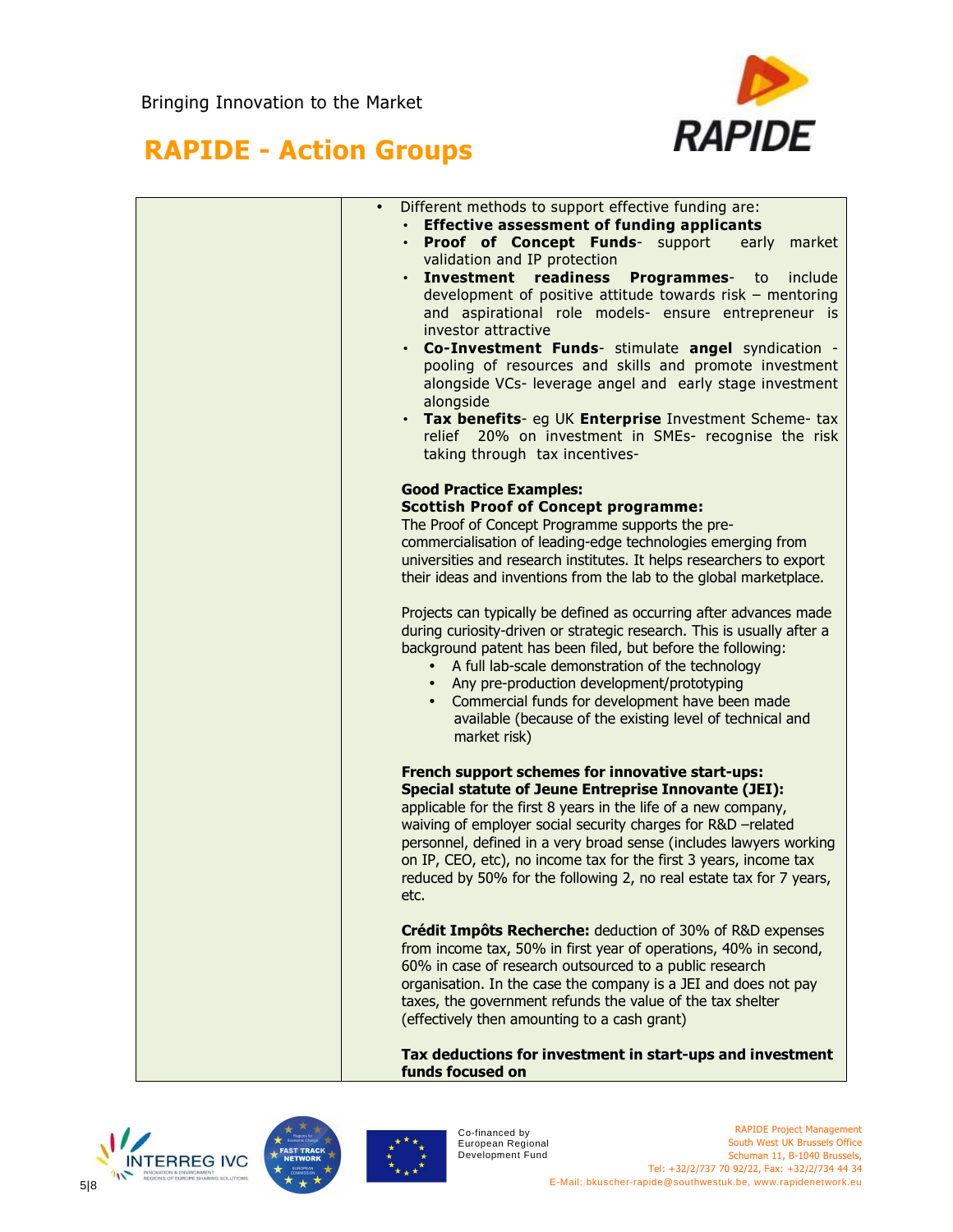

## **RAPIDE - Action Groups**

| $\bullet$ | Different methods to support effective funding are:                                                                     |
|-----------|-------------------------------------------------------------------------------------------------------------------------|
|           | • Effective assessment of funding applicants                                                                            |
|           | • Proof of Concept Funds- support<br>early<br>market<br>validation and IP protection                                    |
|           | • Investment readiness Programmes- to<br>include                                                                        |
|           | development of positive attitude towards risk - mentoring                                                               |
|           | and aspirational role models- ensure entrepreneur is                                                                    |
|           | investor attractive                                                                                                     |
|           | . Co-Investment Funds- stimulate angel syndication -                                                                    |
|           | pooling of resources and skills and promote investment<br>alongside VCs- leverage angel and early stage investment      |
|           | alongside                                                                                                               |
|           | • Tax benefits- eg UK Enterprise Investment Scheme- tax                                                                 |
|           | relief 20% on investment in SMEs- recognise the risk                                                                    |
|           | taking through tax incentives-                                                                                          |
|           | <b>Good Practice Examples:</b>                                                                                          |
|           | <b>Scottish Proof of Concept programme:</b>                                                                             |
|           | The Proof of Concept Programme supports the pre-                                                                        |
|           | commercialisation of leading-edge technologies emerging from                                                            |
|           | universities and research institutes. It helps researchers to export                                                    |
|           | their ideas and inventions from the lab to the global marketplace.                                                      |
|           | Projects can typically be defined as occurring after advances made                                                      |
|           | during curiosity-driven or strategic research. This is usually after a                                                  |
|           | background patent has been filed, but before the following:                                                             |
|           | A full lab-scale demonstration of the technology<br>$\bullet$                                                           |
|           | Any pre-production development/prototyping<br>$\bullet$<br>Commercial funds for development have been made<br>$\bullet$ |
|           | available (because of the existing level of technical and                                                               |
|           | market risk)                                                                                                            |
|           |                                                                                                                         |
|           | French support schemes for innovative start-ups:<br><b>Special statute of Jeune Entreprise Innovante (JEI):</b>         |
|           | applicable for the first 8 years in the life of a new company,                                                          |
|           | waiving of employer social security charges for R&D -related                                                            |
|           | personnel, defined in a very broad sense (includes lawyers working                                                      |
|           | on IP, CEO, etc), no income tax for the first 3 years, income tax                                                       |
|           | reduced by 50% for the following 2, no real estate tax for 7 years,                                                     |
|           | etc.                                                                                                                    |
|           | Crédit Impôts Recherche: deduction of 30% of R&D expenses                                                               |
|           | from income tax, 50% in first year of operations, 40% in second,                                                        |
|           | 60% in case of research outsourced to a public research                                                                 |
|           | organisation. In the case the company is a JEI and does not pay                                                         |
|           | taxes, the government refunds the value of the tax shelter<br>(effectively then amounting to a cash grant)              |
|           |                                                                                                                         |
|           |                                                                                                                         |

**Tax deductions for investment in start-ups and investment funds focused on** 





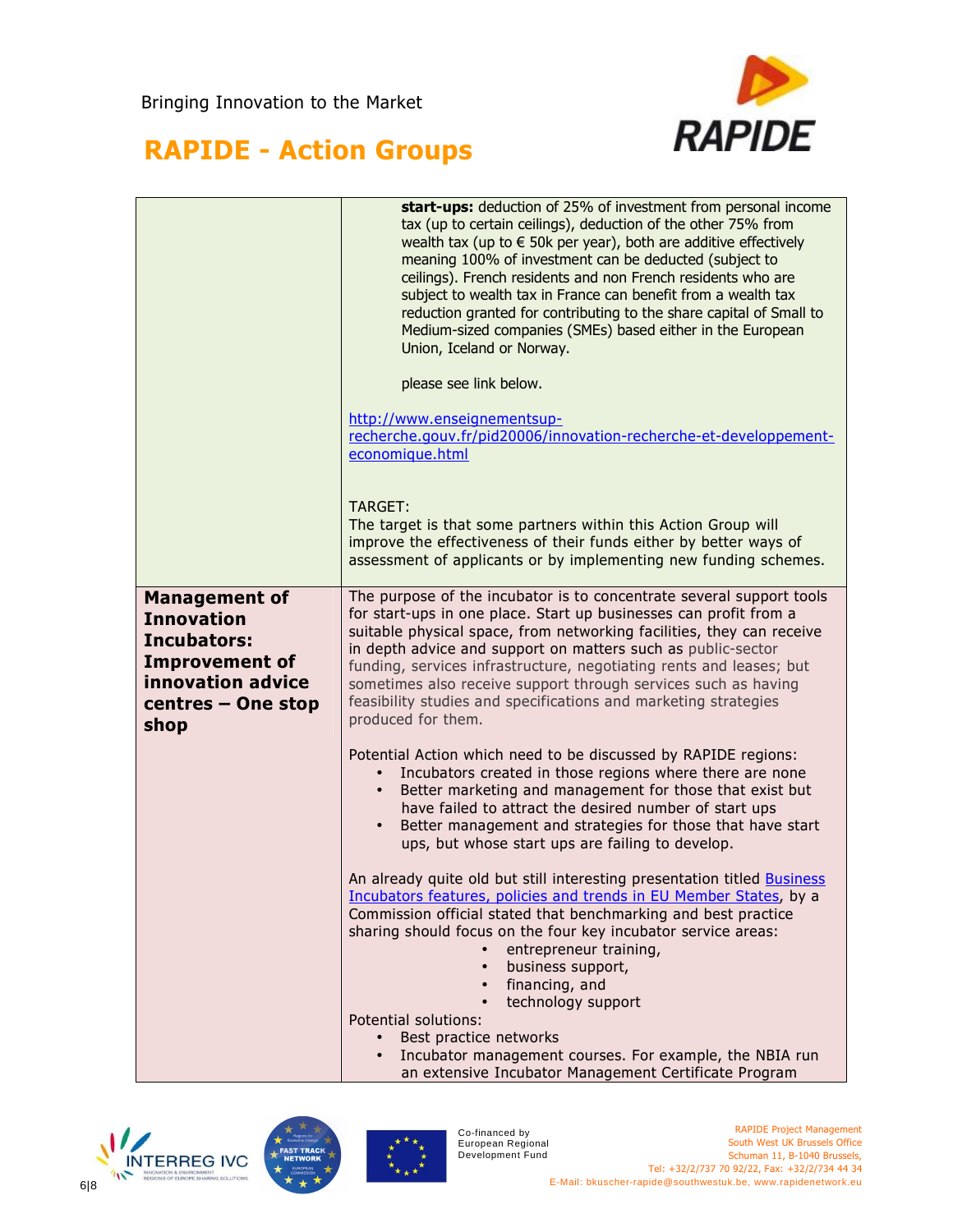

|                                                                                                                                             | start-ups: deduction of 25% of investment from personal income<br>tax (up to certain ceilings), deduction of the other 75% from<br>wealth tax (up to $\epsilon$ 50k per year), both are additive effectively<br>meaning 100% of investment can be deducted (subject to<br>ceilings). French residents and non French residents who are<br>subject to wealth tax in France can benefit from a wealth tax<br>reduction granted for contributing to the share capital of Small to<br>Medium-sized companies (SMEs) based either in the European<br>Union, Iceland or Norway. |
|---------------------------------------------------------------------------------------------------------------------------------------------|---------------------------------------------------------------------------------------------------------------------------------------------------------------------------------------------------------------------------------------------------------------------------------------------------------------------------------------------------------------------------------------------------------------------------------------------------------------------------------------------------------------------------------------------------------------------------|
|                                                                                                                                             | please see link below.                                                                                                                                                                                                                                                                                                                                                                                                                                                                                                                                                    |
|                                                                                                                                             | http://www.enseignementsup-<br>recherche.gouv.fr/pid20006/innovation-recherche-et-developpement-<br>economique.html                                                                                                                                                                                                                                                                                                                                                                                                                                                       |
|                                                                                                                                             | TARGET:<br>The target is that some partners within this Action Group will<br>improve the effectiveness of their funds either by better ways of<br>assessment of applicants or by implementing new funding schemes.                                                                                                                                                                                                                                                                                                                                                        |
| <b>Management of</b><br><b>Innovation</b><br><b>Incubators:</b><br><b>Improvement of</b><br>innovation advice<br>centres - One stop<br>shop | The purpose of the incubator is to concentrate several support tools<br>for start-ups in one place. Start up businesses can profit from a<br>suitable physical space, from networking facilities, they can receive<br>in depth advice and support on matters such as public-sector<br>funding, services infrastructure, negotiating rents and leases; but<br>sometimes also receive support through services such as having<br>feasibility studies and specifications and marketing strategies<br>produced for them.                                                      |
|                                                                                                                                             | Potential Action which need to be discussed by RAPIDE regions:<br>Incubators created in those regions where there are none<br>Better marketing and management for those that exist but<br>have failed to attract the desired number of start ups<br>Better management and strategies for those that have start<br>ups, but whose start ups are failing to develop.                                                                                                                                                                                                        |
|                                                                                                                                             | An already quite old but still interesting presentation titled <b>Business</b><br>Incubators features, policies and trends in EU Member States, by a<br>Commission official stated that benchmarking and best practice<br>sharing should focus on the four key incubator service areas:<br>entrepreneur training,<br>business support,<br>$\bullet$<br>financing, and<br>$\bullet$                                                                                                                                                                                        |
|                                                                                                                                             | technology support<br>Potential solutions:<br>Best practice networks<br>Incubator management courses. For example, the NBIA run<br>$\bullet$<br>an extensive Incubator Management Certificate Program                                                                                                                                                                                                                                                                                                                                                                     |





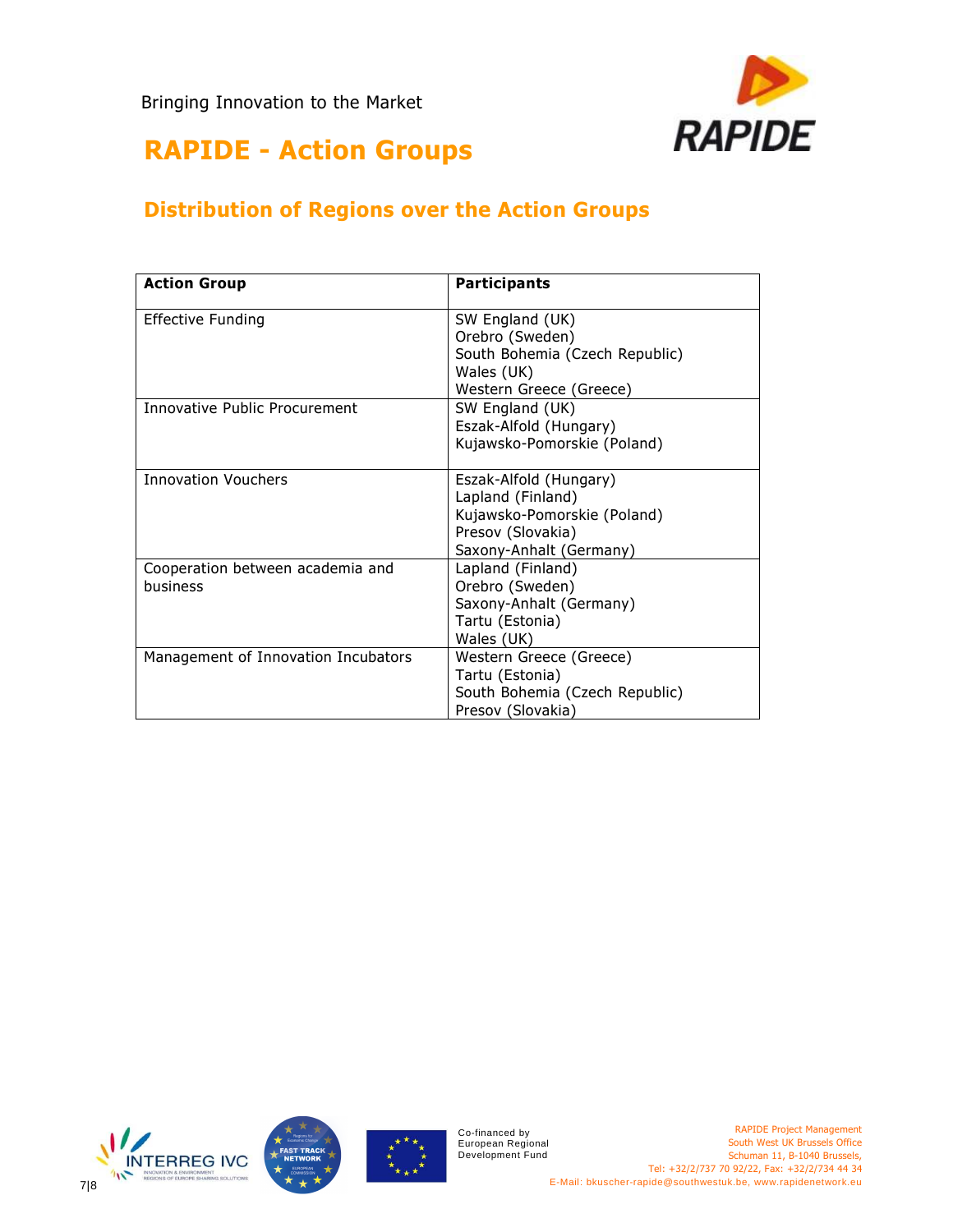

#### **Distribution of Regions over the Action Groups**

| <b>Action Group</b>                  | <b>Participants</b>            |
|--------------------------------------|--------------------------------|
| <b>Effective Funding</b>             | SW England (UK)                |
|                                      | Orebro (Sweden)                |
|                                      | South Bohemia (Czech Republic) |
|                                      | Wales (UK)                     |
|                                      | Western Greece (Greece)        |
| <b>Innovative Public Procurement</b> | SW England (UK)                |
|                                      | Eszak-Alfold (Hungary)         |
|                                      | Kujawsko-Pomorskie (Poland)    |
| <b>Innovation Vouchers</b>           | Eszak-Alfold (Hungary)         |
|                                      | Lapland (Finland)              |
|                                      | Kujawsko-Pomorskie (Poland)    |
|                                      | Presov (Slovakia)              |
|                                      | Saxony-Anhalt (Germany)        |
| Cooperation between academia and     | Lapland (Finland)              |
| business                             | Orebro (Sweden)                |
|                                      | Saxony-Anhalt (Germany)        |
|                                      | Tartu (Estonia)                |
|                                      | Wales (UK)                     |
| Management of Innovation Incubators  | Western Greece (Greece)        |
|                                      | Tartu (Estonia)                |
|                                      | South Bohemia (Czech Republic) |
|                                      | Presov (Slovakia)              |